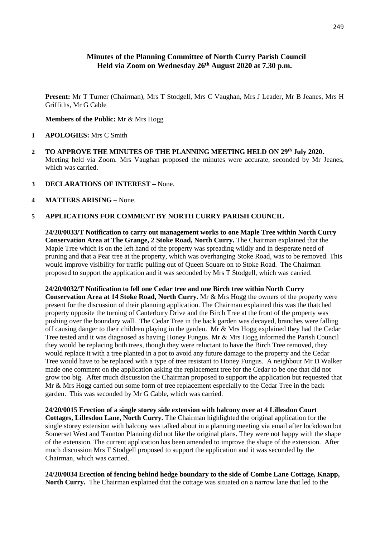## **Minutes of the Planning Committee of North Curry Parish Council Held via Zoom on Wednesday 26th August 2020 at 7.30 p.m.**

**Present:** Mr T Turner (Chairman), Mrs T Stodgell, Mrs C Vaughan, Mrs J Leader, Mr B Jeanes, Mrs H Griffiths, Mr G Cable

**Members of the Public:** Mr & Mrs Hogg

- **1 APOLOGIES:** Mrs C Smith
- **2 TO APPROVE THE MINUTES OF THE PLANNING MEETING HELD ON 29th July 2020.** Meeting held via Zoom. Mrs Vaughan proposed the minutes were accurate, seconded by Mr Jeanes, which was carried.
- **3 DECLARATIONS OF INTEREST –** None.
- **4 MATTERS ARISING –** None.

## **5 APPLICATIONS FOR COMMENT BY NORTH CURRY PARISH COUNCIL**

**24/20/0033/T Notification to carry out management works to one Maple Tree within North Curry Conservation Area at The Grange, 2 Stoke Road, North Curry.** The Chairman explained that the Maple Tree which is on the left hand of the property was spreading wildly and in desperate need of pruning and that a Pear tree at the property, which was overhanging Stoke Road, was to be removed. This would improve visibility for traffic pulling out of Queen Square on to Stoke Road. The Chairman proposed to support the application and it was seconded by Mrs T Stodgell, which was carried.

**24/20/0032/T Notification to fell one Cedar tree and one Birch tree within North Curry** 

**Conservation Area at 14 Stoke Road, North Curry.** Mr & Mrs Hogg the owners of the property were present for the discussion of their planning application. The Chairman explained this was the thatched property opposite the turning of Canterbury Drive and the Birch Tree at the front of the property was pushing over the boundary wall. The Cedar Tree in the back garden was decayed, branches were falling off causing danger to their children playing in the garden. Mr & Mrs Hogg explained they had the Cedar Tree tested and it was diagnosed as having Honey Fungus. Mr & Mrs Hogg informed the Parish Council they would be replacing both trees, though they were reluctant to have the Birch Tree removed, they would replace it with a tree planted in a pot to avoid any future damage to the property and the Cedar Tree would have to be replaced with a type of tree resistant to Honey Fungus. A neighbour Mr D Walker made one comment on the application asking the replacement tree for the Cedar to be one that did not grow too big. After much discussion the Chairman proposed to support the application but requested that Mr & Mrs Hogg carried out some form of tree replacement especially to the Cedar Tree in the back garden. This was seconded by Mr G Cable, which was carried.

**24/20/0015 Erection of a single storey side extension with balcony over at 4 Lillesdon Court Cottages, Lillesdon Lane, North Curry.** The Chairman highlighted the original application for the single storey extension with balcony was talked about in a planning meeting via email after lockdown but Somerset West and Taunton Planning did not like the original plans. They were not happy with the shape of the extension. The current application has been amended to improve the shape of the extension. After much discussion Mrs T Stodgell proposed to support the application and it was seconded by the Chairman, which was carried.

**24/20/0034 Erection of fencing behind hedge boundary to the side of Combe Lane Cottage, Knapp, North Curry.** The Chairman explained that the cottage was situated on a narrow lane that led to the